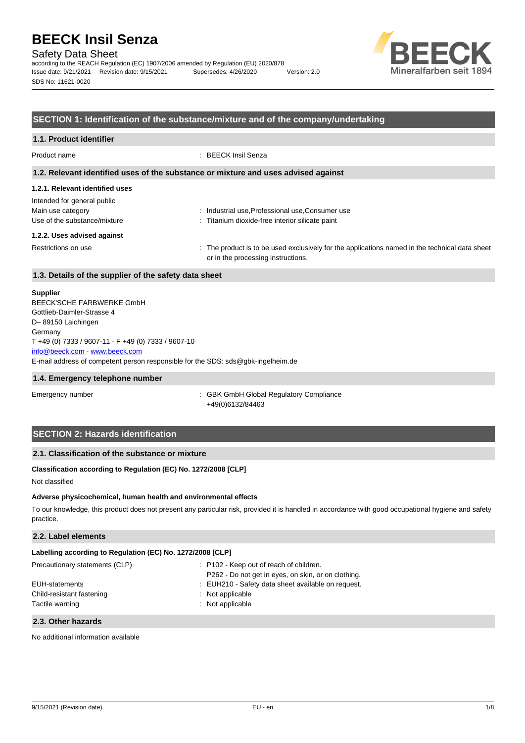Safety Data Sheet

according to the REACH Regulation (EC) 1907/2006 amended by Regulation (EU) 2020/878 Issue date: 9/21/2021 Revision date: 9/15/2021 Supersedes: 4/26/2020 Version: 2.0 SDS No: 11621-0020



## **SECTION 1: Identification of the substance/mixture and of the company/undertaking**

## **1.1. Product identifier** Product name : BEECK Insil Senza **1.2. Relevant identified uses of the substance or mixture and uses advised against 1.2.1. Relevant identified uses** Intended for general public Main use category **industrial use, Professional use, Consumer use** industrial use, Professional use, Consumer use Use of the substance/mixture in the state of the substance interior silicate paint **1.2.2. Uses advised against** Restrictions on use example of the product is to be used exclusively for the applications named in the technical data sheet or in the processing instructions.

## **1.3. Details of the supplier of the safety data sheet**

#### **Supplier**

E-mail address of competent person responsible for the SDS: sds@gbk-ingelheim.de BEECK'SCHE FARBWERKE GmbH Gottlieb-Daimler-Strasse 4 D– 89150 Laichingen Germany T +49 (0) 7333 / 9607-11 - F +49 (0) 7333 / 9607-10 [info@beeck.com](mailto:info@beeck.com) - [www.beeck.com](http://www.beeck.com/)

#### **1.4. Emergency telephone number**

Emergency number **Emergency** number **1996** is GBK GmbH Global Regulatory Compliance +49(0)6132/84463

## **SECTION 2: Hazards identification**

## **2.1. Classification of the substance or mixture**

## **Classification according to Regulation (EC) No. 1272/2008 [CLP]**

Not classified

#### **Adverse physicochemical, human health and environmental effects**

To our knowledge, this product does not present any particular risk, provided it is handled in accordance with good occupational hygiene and safety practice.

## **2.2. Label elements**

| Labelling according to Regulation (EC) No. 1272/2008 [CLP] |                                                                                                |
|------------------------------------------------------------|------------------------------------------------------------------------------------------------|
| Precautionary statements (CLP)                             | : P102 - Keep out of reach of children.<br>P262 - Do not get in eyes, on skin, or on clothing. |
| EUH-statements                                             | : EUH210 - Safety data sheet available on request.                                             |
| Child-resistant fastening<br>Tactile warning               | $:$ Not applicable<br>: Not applicable                                                         |

#### **2.3. Other hazards**

No additional information available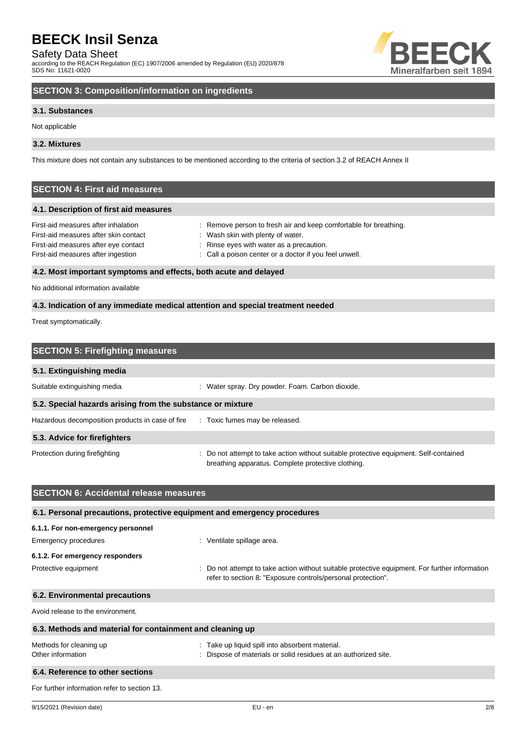Safety Data Sheet

according to the REACH Regulation (EC) 1907/2006 amended by Regulation (EU) 2020/878 SDS No: 11621-0020



## **SECTION 3: Composition/information on ingredients**

## **3.1. Substances**

Not applicable

## **3.2. Mixtures**

This mixture does not contain any substances to be mentioned according to the criteria of section 3.2 of REACH Annex II

## **SECTION 4: First aid measures**

## **4.1. Description of first aid measures**

| First-aid measures after inhalation   | : Remove person to fresh air and keep comfortable for breathing. |  |
|---------------------------------------|------------------------------------------------------------------|--|
| First-aid measures after skin contact | : Wash skin with plenty of water.                                |  |
| First-aid measures after eye contact  | : Rinse eyes with water as a precaution.                         |  |
| First-aid measures after ingestion    | : Call a poison center or a doctor if you feel unwell.           |  |
|                                       |                                                                  |  |

## **4.2. Most important symptoms and effects, both acute and delayed**

No additional information available

## **4.3. Indication of any immediate medical attention and special treatment needed**

Treat symptomatically.

| <b>SECTION 5: Firefighting measures</b>                    |                                                                                                                                             |
|------------------------------------------------------------|---------------------------------------------------------------------------------------------------------------------------------------------|
| 5.1. Extinguishing media                                   |                                                                                                                                             |
| Suitable extinguishing media                               | : Water spray. Dry powder. Foam. Carbon dioxide.                                                                                            |
| 5.2. Special hazards arising from the substance or mixture |                                                                                                                                             |
| Hazardous decomposition products in case of fire           | : Toxic fumes may be released.                                                                                                              |
| 5.3. Advice for firefighters                               |                                                                                                                                             |
| Protection during firefighting                             | : Do not attempt to take action without suitable protective equipment. Self-contained<br>breathing apparatus. Complete protective clothing. |

| <b>SECTION 6: Accidental release measures</b>                            |                                                                                                                                                                |
|--------------------------------------------------------------------------|----------------------------------------------------------------------------------------------------------------------------------------------------------------|
| 6.1. Personal precautions, protective equipment and emergency procedures |                                                                                                                                                                |
| 6.1.1. For non-emergency personnel                                       |                                                                                                                                                                |
| Emergency procedures                                                     | : Ventilate spillage area.                                                                                                                                     |
| 6.1.2. For emergency responders                                          |                                                                                                                                                                |
| Protective equipment                                                     | : Do not attempt to take action without suitable protective equipment. For further information<br>refer to section 8: "Exposure controls/personal protection". |
| 6.2. Environmental precautions                                           |                                                                                                                                                                |
| Avoid release to the environment.                                        |                                                                                                                                                                |
| 6.3. Methods and material for containment and cleaning up                |                                                                                                                                                                |
| Methods for cleaning up<br>Other information                             | : Take up liquid spill into absorbent material.<br>: Dispose of materials or solid residues at an authorized site.                                             |
| 6.4. Reference to other sections                                         |                                                                                                                                                                |
| For further information refer to section 13.                             |                                                                                                                                                                |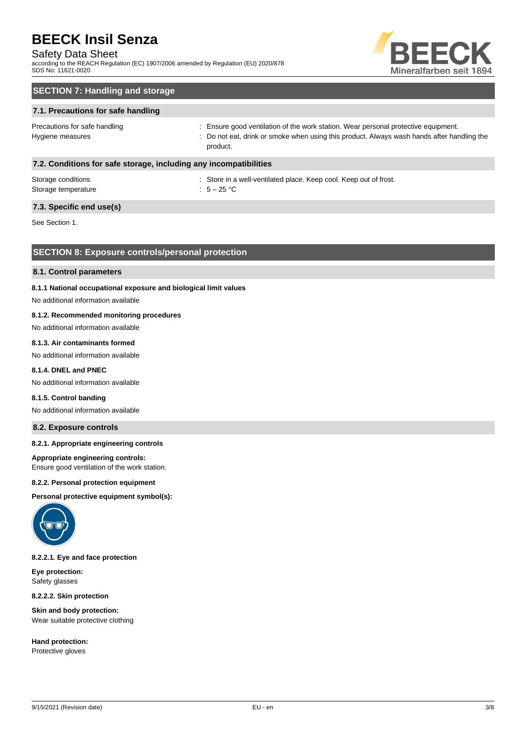## Safety Data Sheet

according to the REACH Regulation (EC) 1907/2006 amended by Regulation (EU) 2020/878 SDS No: 11621-0020



## **SECTION 7: Handling and storage**

## **7.1. Precautions for safe handling**

Precautions for safe handling state is ensure good ventilation of the work station. Wear personal protective equipment. Hygiene measures states of the state of the not eat, drink or smoke when using this product. Always wash hands after handling the product.

## **7.2. Conditions for safe storage, including any incompatibilities**

| Storage conditions  | : Store in a |
|---------------------|--------------|
| Storage temperature | : $5-25$ °C  |

: Store in a well-ventilated place. Keep cool. Keep out of frost.

## **7.3. Specific end use(s)**

See Section 1.

## **SECTION 8: Exposure controls/personal protection**

## **8.1. Control parameters**

## **8.1.1 National occupational exposure and biological limit values**

No additional information available

## **8.1.2. Recommended monitoring procedures**

No additional information available

## **8.1.3. Air contaminants formed**

No additional information available

## **8.1.4. DNEL and PNEC**

No additional information available

#### **8.1.5. Control banding**

No additional information available

## **8.2. Exposure controls**

## **8.2.1. Appropriate engineering controls**

#### **Appropriate engineering controls:**

Ensure good ventilation of the work station.

#### **8.2.2. Personal protection equipment**

**Personal protective equipment symbol(s):**



## **8.2.2.1. Eye and face protection**

**Eye protection:** Safety glasses

**8.2.2.2. Skin protection**

**Skin and body protection:** Wear suitable protective clothing

**Hand protection:** Protective gloves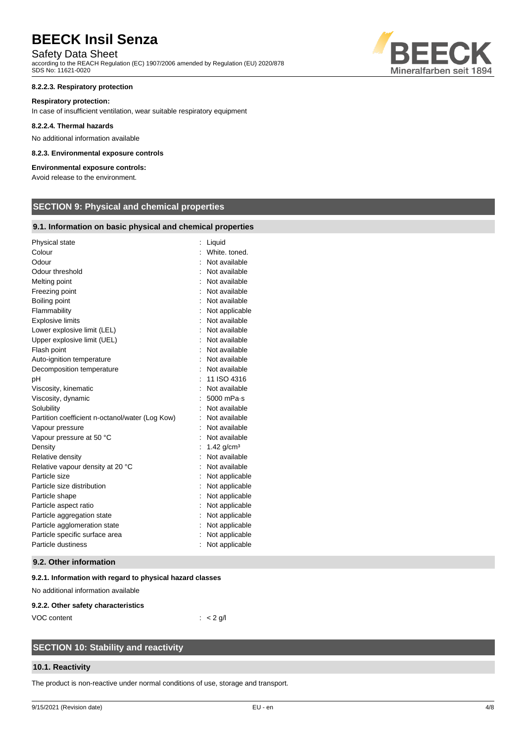## Safety Data Sheet

according to the REACH Regulation (EC) 1907/2006 amended by Regulation (EU) 2020/878 SDS No: 11621-0020

## **8.2.2.3. Respiratory protection**

### **Respiratory protection:**

In case of insufficient ventilation, wear suitable respiratory equipment

### **8.2.2.4. Thermal hazards**

No additional information available

### **8.2.3. Environmental exposure controls**

## **Environmental exposure controls:**

Avoid release to the environment.

## **SECTION 9: Physical and chemical properties**

## **9.1. Information on basic physical and chemical properties**

| Physical state                                  | Liquid                   |
|-------------------------------------------------|--------------------------|
| Colour                                          | White. toned.            |
| Odour                                           | Not available            |
| Odour threshold                                 | Not available            |
| Melting point                                   | Not available            |
| Freezing point                                  | Not available            |
| Boiling point                                   | Not available            |
| Flammability                                    | Not applicable           |
| <b>Explosive limits</b>                         | Not available            |
| Lower explosive limit (LEL)                     | Not available            |
| Upper explosive limit (UEL)                     | Not available            |
| Flash point                                     | Not available            |
| Auto-ignition temperature                       | Not available            |
| Decomposition temperature                       | Not available            |
| рH                                              | 11 ISO 4316              |
| Viscosity, kinematic                            | Not available            |
| Viscosity, dynamic                              | 5000 mPa-s               |
| Solubility                                      | Not available            |
| Partition coefficient n-octanol/water (Log Kow) | Not available            |
| Vapour pressure                                 | Not available            |
| Vapour pressure at 50 °C                        | Not available            |
| Density                                         | $1.42$ g/cm <sup>3</sup> |
| Relative density                                | Not available            |
| Relative vapour density at 20 °C                | Not available            |
| Particle size                                   | Not applicable           |
| Particle size distribution                      | Not applicable           |
| Particle shape                                  | Not applicable           |
| Particle aspect ratio                           | Not applicable           |
| Particle aggregation state                      | Not applicable           |
| Particle agglomeration state                    | Not applicable           |
| Particle specific surface area                  | Not applicable           |
| Particle dustiness                              | Not applicable           |

## **9.2. Other information**

## **9.2.1. Information with regard to physical hazard classes**

No additional information available

#### **9.2.2. Other safety characteristics**

VOC content : < 2 g/l

## **SECTION 10: Stability and reactivity**

## **10.1. Reactivity**

The product is non-reactive under normal conditions of use, storage and transport.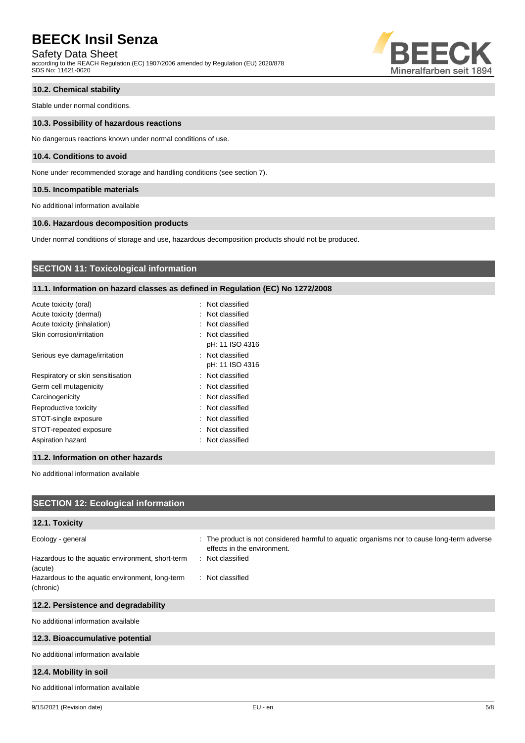Safety Data Sheet

according to the REACH Regulation (EC) 1907/2006 amended by Regulation (EU) 2020/878 SDS No: 11621-0020



## **10.2. Chemical stability**

Stable under normal conditions.

### **10.3. Possibility of hazardous reactions**

No dangerous reactions known under normal conditions of use.

## **10.4. Conditions to avoid**

None under recommended storage and handling conditions (see section 7).

## **10.5. Incompatible materials**

No additional information available

## **10.6. Hazardous decomposition products**

Under normal conditions of storage and use, hazardous decomposition products should not be produced.

## **SECTION 11: Toxicological information**

## **11.1. Information on hazard classes as defined in Regulation (EC) No 1272/2008**

| Acute toxicity (oral)             | : Not classified |
|-----------------------------------|------------------|
| Acute toxicity (dermal)           | : Not classified |
| Acute toxicity (inhalation)       | : Not classified |
| Skin corrosion/irritation         | : Not classified |
|                                   | pH: 11 ISO 4316  |
| Serious eye damage/irritation     | : Not classified |
|                                   | pH: 11 ISO 4316  |
| Respiratory or skin sensitisation | : Not classified |
| Germ cell mutagenicity            | : Not classified |
| Carcinogenicity                   | : Not classified |
| Reproductive toxicity             | : Not classified |
| STOT-single exposure              | : Not classified |
| STOT-repeated exposure            | : Not classified |
| Aspiration hazard                 | : Not classified |
|                                   |                  |

### **11.2. Information on other hazards**

No additional information available

| <b>SECTION 12: Ecological information</b>                                        |                                                                                                                                                |
|----------------------------------------------------------------------------------|------------------------------------------------------------------------------------------------------------------------------------------------|
| 12.1. Toxicity                                                                   |                                                                                                                                                |
| Ecology - general<br>Hazardous to the aquatic environment, short-term<br>(acute) | : The product is not considered harmful to aquatic organisms nor to cause long-term adverse<br>effects in the environment.<br>: Not classified |
| Hazardous to the aquatic environment, long-term<br>(chronic)                     | : Not classified                                                                                                                               |
| 12.2. Persistence and degradability                                              |                                                                                                                                                |
| No additional information available                                              |                                                                                                                                                |
| 12.3. Bioaccumulative potential                                                  |                                                                                                                                                |
| No additional information available                                              |                                                                                                                                                |
| 12.4. Mobility in soil                                                           |                                                                                                                                                |
| No additional information available                                              |                                                                                                                                                |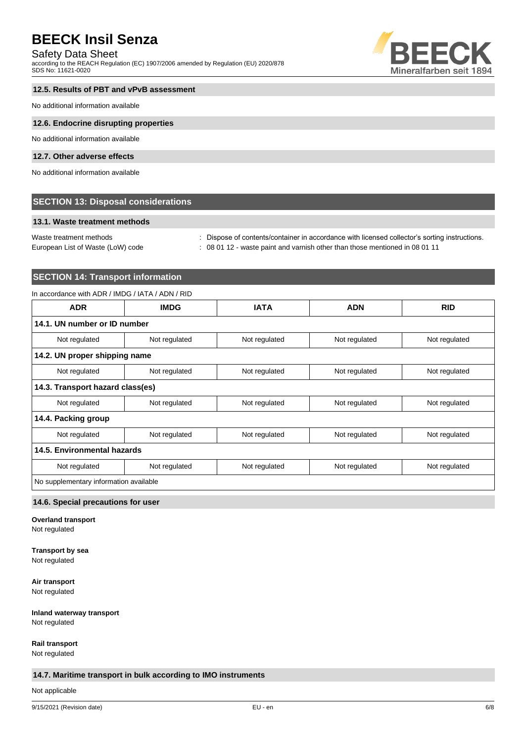## Safety Data Sheet

according to the REACH Regulation (EC) 1907/2006 amended by Regulation (EU) 2020/878 SDS No: 11621-0020



## **12.5. Results of PBT and vPvB assessment**

No additional information available

#### **12.6. Endocrine disrupting properties**

No additional information available

## **12.7. Other adverse effects**

No additional information available

## **SECTION 13: Disposal considerations**

### **13.1. Waste treatment methods**

European List of Waste (LoW) code : 08 01 12 - waste paint and varnish other than those mentioned in 08 01 11

Waste treatment methods : Dispose of contents/container in accordance with licensed collector's sorting instructions.

## **SECTION 14: Transport information**

## In accordance with ADR / IMDG / IATA / ADN / RID

| <b>ADR</b>                             | <b>IMDG</b>   | <b>IATA</b>   | <b>ADN</b>    | <b>RID</b>    |
|----------------------------------------|---------------|---------------|---------------|---------------|
| 14.1. UN number or ID number           |               |               |               |               |
| Not regulated                          | Not regulated | Not regulated | Not regulated | Not regulated |
| 14.2. UN proper shipping name          |               |               |               |               |
| Not regulated                          | Not regulated | Not regulated | Not regulated | Not regulated |
| 14.3. Transport hazard class(es)       |               |               |               |               |
| Not regulated                          | Not regulated | Not regulated | Not regulated | Not regulated |
| 14.4. Packing group                    |               |               |               |               |
| Not regulated                          | Not regulated | Not regulated | Not regulated | Not regulated |
| 14.5. Environmental hazards            |               |               |               |               |
| Not regulated                          | Not regulated | Not regulated | Not regulated | Not regulated |
| No supplementary information available |               |               |               |               |

## **14.6. Special precautions for user**

**Overland transport**

Not regulated

## **Transport by sea**

Not regulated

**Air transport**

Not regulated

### **Inland waterway transport** Not regulated

**Rail transport**

Not regulated

## **14.7. Maritime transport in bulk according to IMO instruments**

Not applicable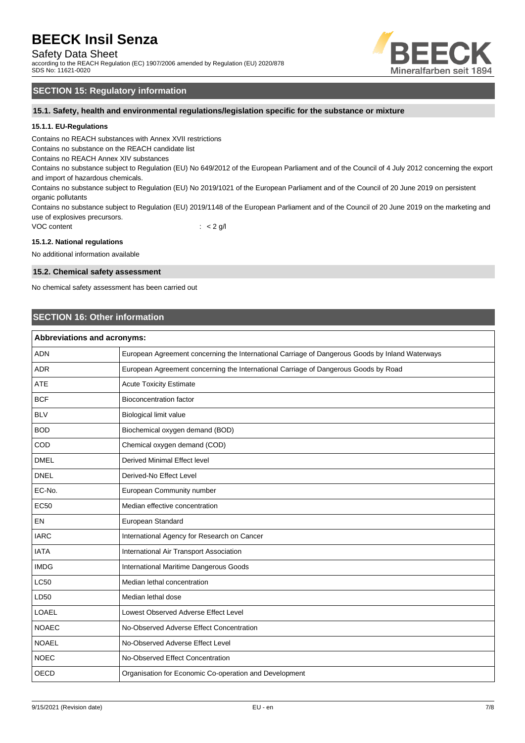Safety Data Sheet

according to the REACH Regulation (EC) 1907/2006 amended by Regulation (EU) 2020/878 SDS No: 11621-0020



## **SECTION 15: Regulatory information**

**15.1. Safety, health and environmental regulations/legislation specific for the substance or mixture**

## **15.1.1. EU-Regulations**

Contains no REACH substances with Annex XVII restrictions

Contains no substance on the REACH candidate list

Contains no REACH Annex XIV substances

Contains no substance subject to Regulation (EU) No 649/2012 of the European Parliament and of the Council of 4 July 2012 concerning the export and import of hazardous chemicals.

Contains no substance subject to Regulation (EU) No 2019/1021 of the European Parliament and of the Council of 20 June 2019 on persistent organic pollutants

Contains no substance subject to Regulation (EU) 2019/1148 of the European Parliament and of the Council of 20 June 2019 on the marketing and use of explosives precursors.

VOC content  $\qquad \qquad : \qquad < 2 \text{ g/l}$ 

## **15.1.2. National regulations**

No additional information available

## **15.2. Chemical safety assessment**

No chemical safety assessment has been carried out

## **SECTION 16: Other information**

| <b>Abbreviations and acronyms:</b> |                                                                                                 |  |
|------------------------------------|-------------------------------------------------------------------------------------------------|--|
| <b>ADN</b>                         | European Agreement concerning the International Carriage of Dangerous Goods by Inland Waterways |  |
| <b>ADR</b>                         | European Agreement concerning the International Carriage of Dangerous Goods by Road             |  |
| <b>ATE</b>                         | <b>Acute Toxicity Estimate</b>                                                                  |  |
| <b>BCF</b>                         | <b>Bioconcentration factor</b>                                                                  |  |
| <b>BLV</b>                         | Biological limit value                                                                          |  |
| <b>BOD</b>                         | Biochemical oxygen demand (BOD)                                                                 |  |
| COD                                | Chemical oxygen demand (COD)                                                                    |  |
| <b>DMEL</b>                        | Derived Minimal Effect level                                                                    |  |
| <b>DNEL</b>                        | Derived-No Effect Level                                                                         |  |
| EC-No.                             | European Community number                                                                       |  |
| <b>EC50</b>                        | Median effective concentration                                                                  |  |
| EN                                 | European Standard                                                                               |  |
| <b>IARC</b>                        | International Agency for Research on Cancer                                                     |  |
| <b>IATA</b>                        | International Air Transport Association                                                         |  |
| <b>IMDG</b>                        | International Maritime Dangerous Goods                                                          |  |
| <b>LC50</b>                        | Median lethal concentration                                                                     |  |
| LD50                               | Median lethal dose                                                                              |  |
| <b>LOAEL</b>                       | Lowest Observed Adverse Effect Level                                                            |  |
| <b>NOAEC</b>                       | No-Observed Adverse Effect Concentration                                                        |  |
| <b>NOAEL</b>                       | No-Observed Adverse Effect Level                                                                |  |
| <b>NOEC</b>                        | No-Observed Effect Concentration                                                                |  |
| <b>OECD</b>                        | Organisation for Economic Co-operation and Development                                          |  |